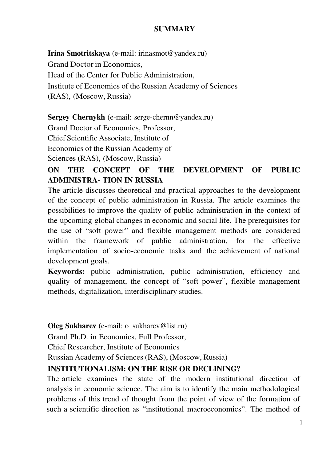#### **SUMMARY**

**Irina Smotritskaya** (е-mail: irinasmot@yandex.ru) Grand Doctor in Economics, Head of the Center for Public Administration, Institute of Economics of the Russian Academy of Sciences (RAS), (Moscow, Russia)

**Sergey Chernykh** (е-mail: serge-chernn@yandex.ru)

Grand Doctor of Economics, Professor,

Chief Scientific Associate, Institute of

Economics of the Russian Academy of

Sciences (RAS), (Moscow, Russia)

# **ON THE CONCEPT OF THE DEVELOPMENT OF PUBLIC ADMINISTRA- TION IN RUSSIA**

The article discusses theoretical and practical approaches to the development of the concept of public administration in Russia. The article examines the possibilities to improve the quality of public administration in the context of the upcoming global changes in economic and social life. The prerequisites for the use of "soft power" and flexible management methods are considered within the framework of public administration, for the effective implementation of socio-economic tasks and the achievement of national development goals.

**Keywords:** public administration, public administration, efficiency and quality of management, the concept of "soft power", flexible management methods, digitalization, interdisciplinary studies.

#### **Oleg Sukharev** (e-mail: o\_sukharev@list.ru)

Grand Ph.D. in Economics, Full Professor,

Chief Researcher, Institute of Economics

Russian Academy of Sciences (RAS), (Moscow, Russia)

## **INSTITUTIONALISM: ON THE RISE OR DECLINING?**

The article examines the state of the modern institutional direction of analysis in economic science. The aim is to identify the main methodological problems of this trend of thought from the point of view of the formation of such a scientific direction as "institutional macroeconomics". The method of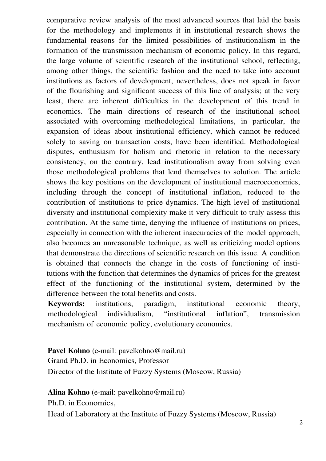comparative review analysis of the most advanced sources that laid the basis for the methodology and implements it in institutional research shows the fundamental reasons for the limited possibilities of institutionalism in the formation of the transmission mechanism of economic policy. In this regard, the large volume of scientific research of the institutional school, reflecting, among other things, the scientific fashion and the need to take into account institutions as factors of development, nevertheless, does not speak in favor of the flourishing and significant success of this line of analysis; at the very least, there are inherent difficulties in the development of this trend in economics. The main directions of research of the institutional school associated with overcoming methodological limitations, in particular, the expansion of ideas about institutional efficiency, which cannot be reduced solely to saving on transaction costs, have been identified. Methodological disputes, enthusiasm for holism and rhetoric in relation to the necessary consistency, on the contrary, lead institutionalism away from solving even those methodological problems that lend themselves to solution. The article shows the key positions on the development of institutional macroeconomics, including through the concept of institutional inflation, reduced to the contribution of institutions to price dynamics. The high level of institutional diversity and institutional complexity make it very difficult to truly assess this contribution. At the same time, denying the influence of institutions on prices, especially in connection with the inherent inaccuracies of the model approach, also becomes an unreasonable technique, as well as criticizing model options that demonstrate the directions of scientific research on this issue. A condition is obtained that connects the change in the costs of functioning of institutions with the function that determines the dynamics of prices for the greatest effect of the functioning of the institutional system, determined by the difference between the total benefits and costs.

**Keywords:** institutions, paradigm, institutional economic theory, methodological individualism, "institutional inflation", transmission mechanism of economic policy, evolutionary economics.

Pavel Kohno (e-mail: pavelkohno@mail.ru) Grand Ph.D. in Economics, Professor Director of the Institute of Fuzzy Systems (Moscow, Russia)

**Alina Kohno** (e-mail: pavelkohno@mail.ru)

Ph.D. in Economics,

Head of Laboratory at the Institute of Fuzzy Systems (Moscow, Russia)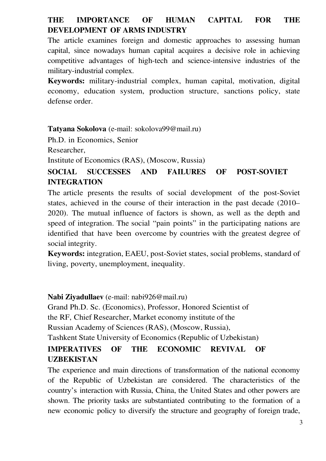# **THE IMPORTANCE OF HUMAN CAPITAL FOR THE DEVELOPMENT OF ARMS INDUSTRY**

The article examines foreign and domestic approaches to assessing human capital, since nowadays human capital acquires a decisive role in achieving competitive advantages of high-tech and science-intensive industries of the military-industrial complex.

**Keywords:** military-industrial complex, human capital, motivation, digital economy, education system, production structure, sanctions policy, state defense order.

**Tatyana Sokolova** (e-mail: sokolova99@mail.ru)

Ph.D. in Economics, Senior

Researcher,

Institute of Economics (RAS), (Moscow, Russia)

## **SOCIAL SUCCESSES AND FAILURES OF POST-SOVIET INTEGRATION**

The article presents the results of social development of the post-Soviet states, achieved in the course of their interaction in the past decade (2010– 2020). The mutual influence of factors is shown, as well as the depth and speed of integration. The social "pain points" in the participating nations are identified that have been overcome by countries with the greatest degree of social integrity.

**Keywords:** integration, EAEU, post-Soviet states, social problems, standard of living, poverty, unemployment, inequality.

**Nabi Ziyadullaev** (e-mail: nabi926@mail.ru)

Grand Ph.D. Sc. (Economics), Professor, Honored Scientist of the RF, Chief Researcher, Market economy institute of the Russian Academy of Sciences (RAS), (Moscow, Russia), Tashkent State University of Economics (Republic of Uzbekistan)

## **IMPERATIVES OF THE ECONOMIC REVIVAL OF UZBEKISTAN**

The experience and main directions of transformation of the national economy of the Republic of Uzbekistan are considered. The characteristics of the country's interaction with Russia, China, the United States and other powers are shown. The priority tasks are substantiated contributing to the formation of a new economic policy to diversify the structure and geography of foreign trade,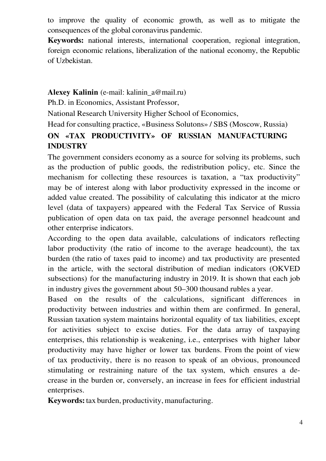to improve the quality of economic growth, as well as to mitigate the consequences of the global coronavirus pandemic.

**Keywords:** national interests, international cooperation, regional integration, foreign economic relations, liberalization of the national economy, the Republic of Uzbekistan.

#### **Alexey Kalinin** (e-mail: kalinin\_a@mail.ru)

Ph.D. in Economics, Assistant Professor,

National Research University Higher School of Economics,

# Head for consulting practice, «Business Solutons» / SBS (Moscow, Russia) **ON «TAX PRODUCTIVITY» OF RUSSIAN MANUFACTURING INDUSTRY**

The government considers economy as a source for solving its problems, such as the production of public goods, the redistribution policy, etc. Since the mechanism for collecting these resources is taxation, a "tax productivity" may be of interest along with labor productivity expressed in the income or added value created. The possibility of calculating this indicator at the micro level (data of taxpayers) appeared with the Federal Tax Service of Russia publication of open data on tax paid, the average personnel headcount and other enterprise indicators.

According to the open data available, calculations of indicators reflecting labor productivity (the ratio of income to the average headcount), the tax burden (the ratio of taxes paid to income) and tax productivity are presented in the article, with the sectoral distribution of median indicators (OKVED subsections) for the manufacturing industry in 2019. It is shown that each job in industry gives the government about 50–300 thousand rubles a year.

Based on the results of the calculations, significant differences in productivity between industries and within them are confirmed. In general, Russian taxation system maintains horizontal equality of tax liabilities, except for activities subject to excise duties. For the data array of taxpaying enterprises, this relationship is weakening, i.e., enterprises with higher labor productivity may have higher or lower tax burdens. From the point of view of tax productivity, there is no reason to speak of an obvious, pronounced stimulating or restraining nature of the tax system, which ensures a decrease in the burden or, conversely, an increase in fees for efficient industrial enterprises.

**Keywords:** tax burden, productivity, manufacturing.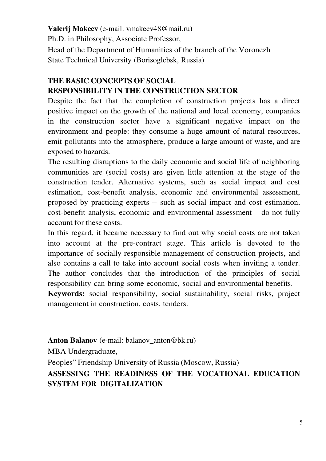**Valerij Makeev** (e-mail: vmakeev48@mail.ru) Ph.D. in Philosophy, Associate Professor, Head of the Department of Humanities of the branch of the Voronezh State Technical University (Borisoglebsk, Russia)

# **THE BASIC CONCEPTS OF SOCIAL RESPONSIBILITY IN THE CONSTRUCTION SECTOR**

Despite the fact that the completion of construction projects has a direct positive impact on the growth of the national and local economy, companies in the construction sector have a significant negative impact on the environment and people: they consume a huge amount of natural resources, emit pollutants into the atmosphere, produce a large amount of waste, and are exposed to hazards.

The resulting disruptions to the daily economic and social life of neighboring communities are (social costs) are given little attention at the stage of the construction tender. Alternative systems, such as social impact and cost estimation, cost-benefit analysis, economic and environmental assessment, proposed by practicing experts – such as social impact and cost estimation, cost-benefit analysis, economic and environmental assessment – do not fully account for these costs.

In this regard, it became necessary to find out why social costs are not taken into account at the pre-contract stage. This article is devoted to the importance of socially responsible management of construction projects, and also contains a call to take into account social costs when inviting a tender. The author concludes that the introduction of the principles of social responsibility can bring some economic, social and environmental benefits.

**Keywords:** social responsibility, social sustainability, social risks, project management in construction, costs, tenders.

Anton Balanov (e-mail: balanov anton@bk.ru)

MBA Undergraduate,

Peoples" Friendship University of Russia (Moscow, Russia) **ASSESSING THE READINESS OF THE VOCATIONAL EDUCATION SYSTEM FOR DIGITALIZATION**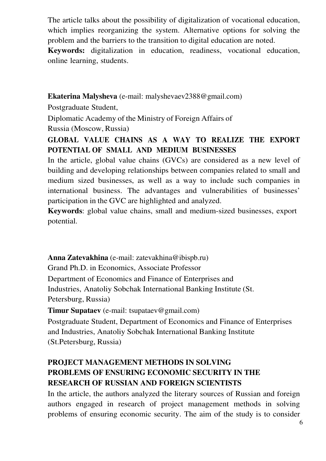The article talks about the possibility of digitalization of vocational education, which implies reorganizing the system. Alternative options for solving the problem and the barriers to the transition to digital education are noted.

**Keywords:** digitalization in education, readiness, vocational education, online learning, students.

**Ekaterina Malysheva** (e-mail: malyshevaev2388@gmail.com)

Postgraduate Student,

Diplomatic Academy of the Ministry of Foreign Affairs of Russia (Moscow, Russia)

# **GLOBAL VALUE CHAINS AS A WAY TO REALIZE THE EXPORT POTENTIAL OF SMALL AND MEDIUM BUSINESSES**

In the article, global value chains (GVCs) are considered as a new level of building and developing relationships between companies related to small and medium sized businesses, as well as a way to include such companies in international business. The advantages and vulnerabilities of businesses' participation in the GVC are highlighted and analyzed.

**Keywords**: global value chains, small and medium-sized businesses, export potential.

**Anna Zatevakhina** (e-mail: zatevakhina@ibispb.ru) Grand Ph.D. in Economics, Associate Professor Department of Economics and Finance of Enterprises and Industries, Anatoliy Sobchak International Banking Institute (St. Petersburg, Russia)

**Timur Supataev** (e-mail: tsupataev@gmail.com)

Postgraduate Student, Department of Economics and Finance of Enterprises and Industries, Anatoliy Sobchak International Banking Institute (St.Petersburg, Russia)

# **PROJECT MANAGEMENT METHODS IN SOLVING PROBLEMS OF ENSURING ECONOMIC SECURITY IN THE RESEARCH OF RUSSIAN AND FOREIGN SCIENTISTS**

In the article, the authors analyzed the literary sources of Russian and foreign authors engaged in research of project management methods in solving problems of ensuring economic security. The aim of the study is to consider